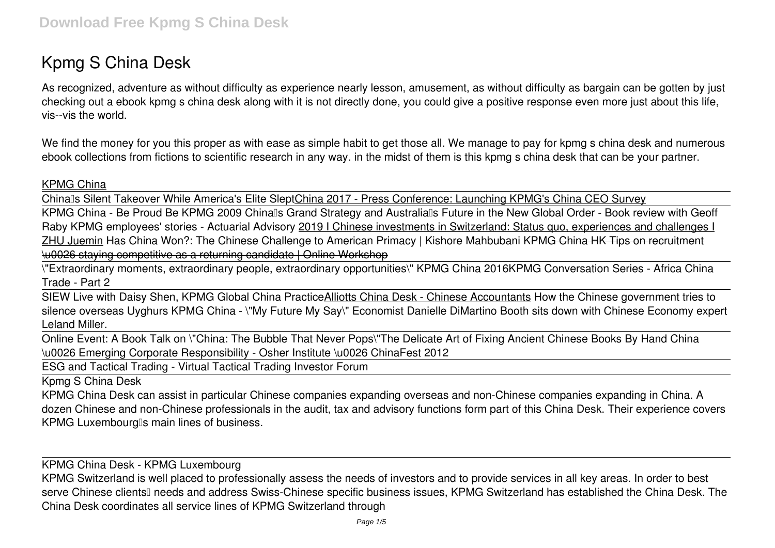# **Kpmg S China Desk**

As recognized, adventure as without difficulty as experience nearly lesson, amusement, as without difficulty as bargain can be gotten by just checking out a ebook **kpmg s china desk** along with it is not directly done, you could give a positive response even more just about this life, vis--vis the world.

We find the money for you this proper as with ease as simple habit to get those all. We manage to pay for kpmg s china desk and numerous ebook collections from fictions to scientific research in any way. in the midst of them is this kpmg s china desk that can be your partner.

#### KPMG China

China's Silent Takeover While America's Elite SleptChina 2017 - Press Conference: Launching KPMG's China CEO Survey

KPMG China - Be Proud Be KPMG 2009 Chinalls Grand Strategy and Australialls Future in the New Global Order - Book review with Geoff Raby KPMG employees' stories - Actuarial Advisory 2019 I Chinese investments in Switzerland: Status quo, experiences and challenges I ZHU Juemin Has China Won?: The Chinese Challenge to American Primacy | Kishore Mahbubani KPMG China HK Tips on recruitment \u0026 staying competitive as a returning candidate | Online Workshop

\"Extraordinary moments, extraordinary people, extraordinary opportunities\" KPMG China 2016*KPMG Conversation Series - Africa China Trade - Part 2*

SIEW Live with Daisy Shen, KPMG Global China PracticeAlliotts China Desk - Chinese Accountants *How the Chinese government tries to silence overseas Uyghurs KPMG China - \"My Future My Say\" Economist Danielle DiMartino Booth sits down with Chinese Economy expert Leland Miller.*

Online Event: A Book Talk on \"China: The Bubble That Never Pops\"*The Delicate Art of Fixing Ancient Chinese Books By Hand* **China \u0026 Emerging Corporate Responsibility - Osher Institute \u0026 ChinaFest 2012**

ESG and Tactical Trading - Virtual Tactical Trading Investor Forum

Kpmg S China Desk

KPMG China Desk can assist in particular Chinese companies expanding overseas and non-Chinese companies expanding in China. A dozen Chinese and non-Chinese professionals in the audit, tax and advisory functions form part of this China Desk. Their experience covers KPMG Luxembourg's main lines of business.

KPMG China Desk - KPMG Luxembourg

KPMG Switzerland is well placed to professionally assess the needs of investors and to provide services in all key areas. In order to best serve Chinese clients<sup>[]</sup> needs and address Swiss-Chinese specific business issues, KPMG Switzerland has established the China Desk. The China Desk coordinates all service lines of KPMG Switzerland through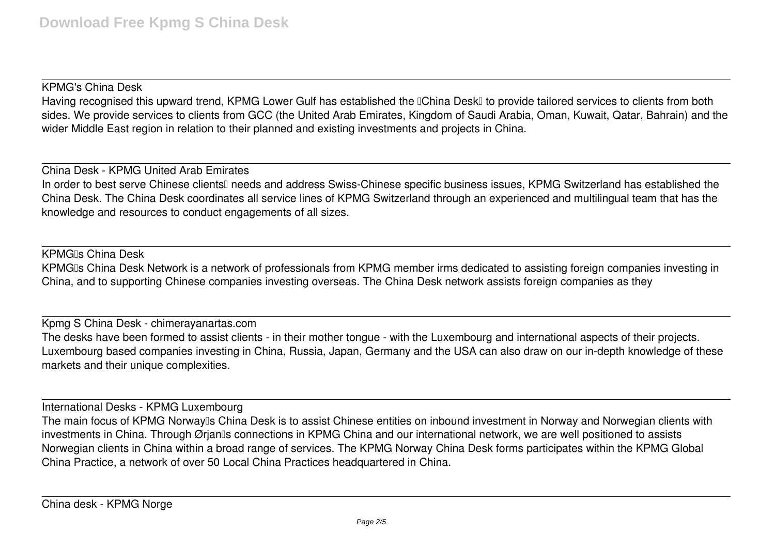#### KPMG's China Desk

Having recognised this upward trend, KPMG Lower Gulf has established the **IChina DeskI** to provide tailored services to clients from both sides. We provide services to clients from GCC (the United Arab Emirates, Kingdom of Saudi Arabia, Oman, Kuwait, Qatar, Bahrain) and the wider Middle East region in relation to their planned and existing investments and projects in China.

China Desk - KPMG United Arab Emirates

In order to best serve Chinese clients<sup>[]</sup> needs and address Swiss-Chinese specific business issues, KPMG Switzerland has established the China Desk. The China Desk coordinates all service lines of KPMG Switzerland through an experienced and multilingual team that has the knowledge and resources to conduct engagements of all sizes.

#### KPMG<sub>IS</sub> China Desk

KPMGIs China Desk Network is a network of professionals from KPMG member irms dedicated to assisting foreign companies investing in China, and to supporting Chinese companies investing overseas. The China Desk network assists foreign companies as they

#### Kpmg S China Desk - chimerayanartas.com

The desks have been formed to assist clients - in their mother tongue - with the Luxembourg and international aspects of their projects. Luxembourg based companies investing in China, Russia, Japan, Germany and the USA can also draw on our in-depth knowledge of these markets and their unique complexities.

International Desks - KPMG Luxembourg

The main focus of KPMG Norway<sup>n</sup>s China Desk is to assist Chinese entities on inbound investment in Norway and Norwegian clients with investments in China. Through Ørjanlls connections in KPMG China and our international network, we are well positioned to assists Norwegian clients in China within a broad range of services. The KPMG Norway China Desk forms participates within the KPMG Global China Practice, a network of over 50 Local China Practices headquartered in China.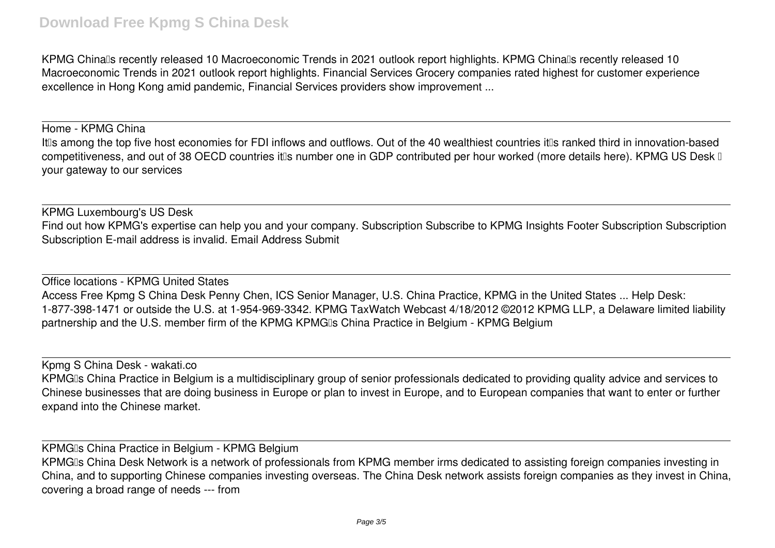### **Download Free Kpmg S China Desk**

KPMG Chinalls recently released 10 Macroeconomic Trends in 2021 outlook report highlights. KPMG Chinalls recently released 10 Macroeconomic Trends in 2021 outlook report highlights. Financial Services Grocery companies rated highest for customer experience excellence in Hong Kong amid pandemic, Financial Services providers show improvement ...

Home - KPMG China It<sup>II</sup>s among the top five host economies for FDI inflows and outflows. Out of the 40 wealthiest countries it<sup>I</sup>s ranked third in innovation-based competitiveness, and out of 38 OECD countries it<sup>n</sup>s number one in GDP contributed per hour worked (more details here). KPMG US Desk <sup>n</sup> your gateway to our services

KPMG Luxembourg's US Desk Find out how KPMG's expertise can help you and your company. Subscription Subscribe to KPMG Insights Footer Subscription Subscription Subscription E-mail address is invalid. Email Address Submit

Office locations - KPMG United States Access Free Kpmg S China Desk Penny Chen, ICS Senior Manager, U.S. China Practice, KPMG in the United States ... Help Desk: 1-877-398-1471 or outside the U.S. at 1-954-969-3342. KPMG TaxWatch Webcast 4/18/2012 ©2012 KPMG LLP, a Delaware limited liability partnership and the U.S. member firm of the KPMG KPMGIs China Practice in Belgium - KPMG Belgium

Kpmg S China Desk - wakati.co KPMGIs China Practice in Belgium is a multidisciplinary group of senior professionals dedicated to providing quality advice and services to Chinese businesses that are doing business in Europe or plan to invest in Europe, and to European companies that want to enter or further expand into the Chinese market.

KPMG<sub>Is</sub> China Practice in Belgium - KPMG Belgium KPMGIs China Desk Network is a network of professionals from KPMG member irms dedicated to assisting foreign companies investing in China, and to supporting Chinese companies investing overseas. The China Desk network assists foreign companies as they invest in China, covering a broad range of needs --- from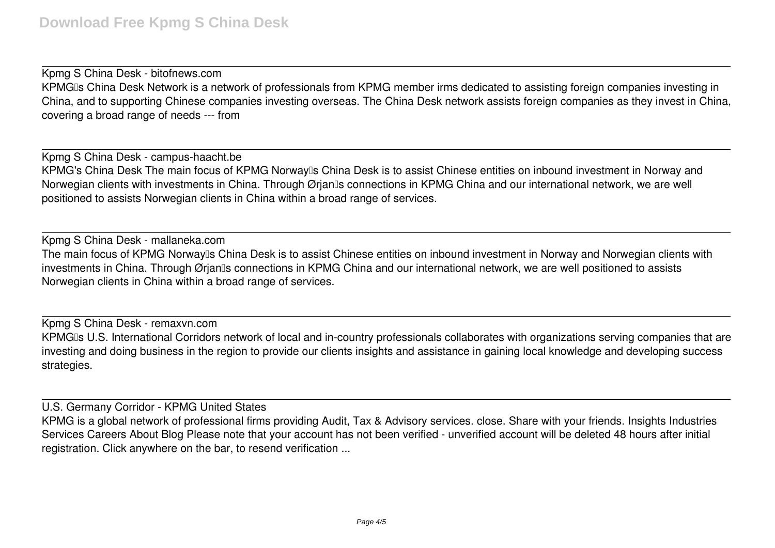Kpmg S China Desk - bitofnews.com KPMGIs China Desk Network is a network of professionals from KPMG member irms dedicated to assisting foreign companies investing in China, and to supporting Chinese companies investing overseas. The China Desk network assists foreign companies as they invest in China, covering a broad range of needs --- from

Kpmg S China Desk - campus-haacht.be KPMG's China Desk The main focus of KPMG Norway's China Desk is to assist Chinese entities on inbound investment in Norway and Norwegian clients with investments in China. Through Ørjan<sup>n</sup>s connections in KPMG China and our international network, we are well positioned to assists Norwegian clients in China within a broad range of services.

Kpmg S China Desk - mallaneka.com The main focus of KPMG Norway<sup>n</sup>s China Desk is to assist Chinese entities on inbound investment in Norway and Norwegian clients with investments in China. Through Ørjanlls connections in KPMG China and our international network, we are well positioned to assists Norwegian clients in China within a broad range of services.

Kpmg S China Desk - remaxvn.com KPMGIs U.S. International Corridors network of local and in-country professionals collaborates with organizations serving companies that are investing and doing business in the region to provide our clients insights and assistance in gaining local knowledge and developing success strategies.

U.S. Germany Corridor - KPMG United States

KPMG is a global network of professional firms providing Audit, Tax & Advisory services. close. Share with your friends. Insights Industries Services Careers About Blog Please note that your account has not been verified - unverified account will be deleted 48 hours after initial registration. Click anywhere on the bar, to resend verification ...